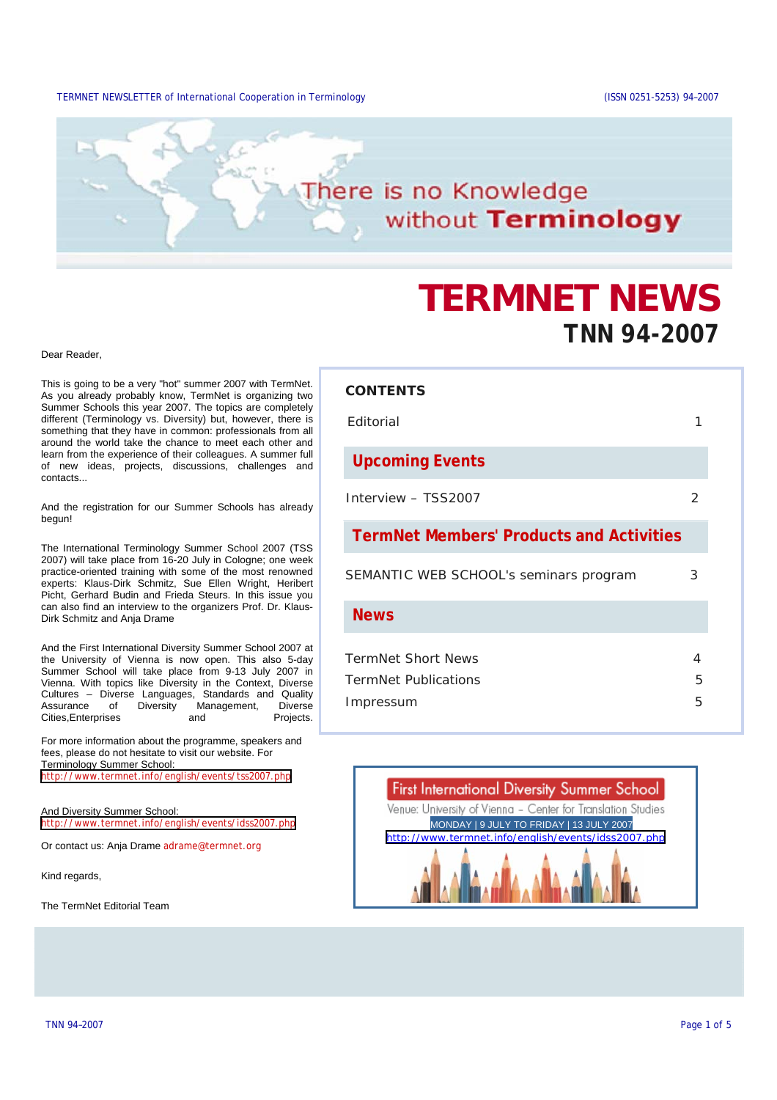#### TERMNET NEWSLETTER of International Cooperation in Terminology (ISSN 0251-5253) 94–2007

# here is no Knowledge without Terminology

# **TERMNET NEWS TNN 94-2007**

Dear Reader,

This is going to be a very "hot" summer 2007 with TermNet. As you already probably know, TermNet is organizing two Summer Schools this year 2007. The topics are completely different (Terminology vs. Diversity) but, however, there is something that they have in common: professionals from all around the world take the chance to meet each other and learn from the experience of their colleagues. A summer full of new ideas, projects, discussions, challenges and contacts...

And the registration for our Summer Schools has already begun!

The International Terminology Summer School 2007 (TSS 2007) will take place from 16-20 July in Cologne; one week practice-oriented training with some of the most renowned experts: Klaus-Dirk Schmitz, Sue Ellen Wright, Heribert Picht, Gerhard Budin and Frieda Steurs. In this issue you can also find an interview to the organizers Prof. Dr. Klaus-Dirk Schmitz and Anja Drame

And the First International Diversity Summer School 2007 at the University of Vienna is now open. This also 5-day Summer School will take place from 9-13 July 2007 in Vienna. With topics like Diversity in the Context, Diverse Cultures – Diverse Languages, Standards and Quality Assurance of Diversity Management, Diverse Cities,Enterprises and Projects.

For more information about the programme, speakers and fees, please do not hesitate to visit our website. For Terminology Summer School: <http://www.termnet.info/english/events/tss2007.php>

And Diversity Summer School: <http://www.termnet.info/english/events/idss2007.php>

Or contact us: Anja Drame adrame@termnet.org

Kind regards,

The TermNet Editorial Team

## **CONTENTS**

| <b>F</b> ditorial                               |               |
|-------------------------------------------------|---------------|
| <b>Upcoming Events</b>                          |               |
| Interview - TSS2007                             | $\mathcal{P}$ |
| <b>TermNet Members' Products and Activities</b> |               |
| SEMANTIC WEB SCHOOL's seminars program          | 3             |
| <b>News</b>                                     |               |
| <b>TermNet Short News</b>                       | 4             |
| <b>TermNet Publications</b>                     | 5             |
| Impressum                                       | 5             |

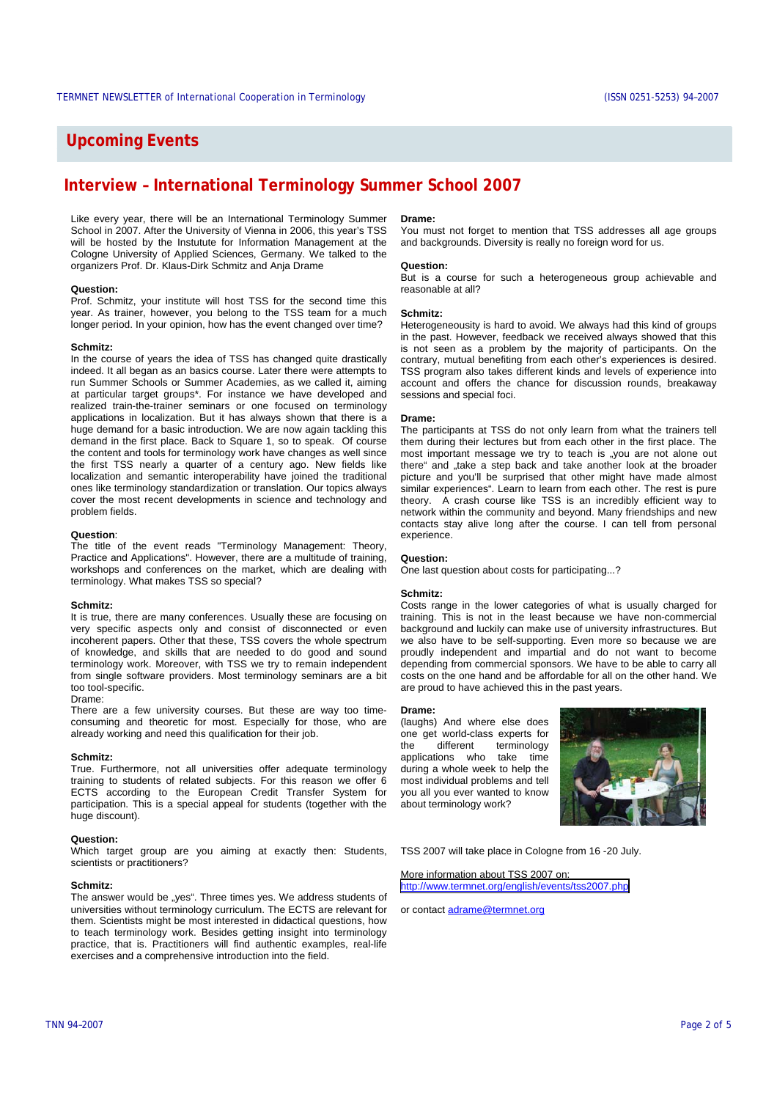# **Upcoming Events**

# **Interview – International Terminology Summer School 2007**

Like every year, there will be an International Terminology Summer School in 2007. After the University of Vienna in 2006, this year's TSS will be hosted by the Instutute for Information Management at the Cologne University of Applied Sciences, Germany. We talked to the organizers Prof. Dr. Klaus-Dirk Schmitz and Anja Drame

#### **Question:**

Prof. Schmitz, your institute will host TSS for the second time this year. As trainer, however, you belong to the TSS team for a much longer period. In your opinion, how has the event changed over time?

#### **Schmitz:**

In the course of years the idea of TSS has changed quite drastically indeed. It all began as an basics course. Later there were attempts to run Summer Schools or Summer Academies, as we called it, aiming at particular target groups\*. For instance we have developed and realized train-the-trainer seminars or one focused on terminology applications in localization. But it has always shown that there is a huge demand for a basic introduction. We are now again tackling this demand in the first place. Back to Square 1, so to speak. Of course the content and tools for terminology work have changes as well since the first TSS nearly a quarter of a century ago. New fields like localization and semantic interoperability have joined the traditional ones like terminology standardization or translation. Our topics always cover the most recent developments in science and technology and problem fields.

#### **Question**:

The title of the event reads "Terminology Management: Theory, Practice and Applications". However, there are a multitude of training, workshops and conferences on the market, which are dealing with terminology. What makes TSS so special?

#### **Schmitz:**

It is true, there are many conferences. Usually these are focusing on very specific aspects only and consist of disconnected or even incoherent papers. Other that these, TSS covers the whole spectrum of knowledge, and skills that are needed to do good and sound terminology work. Moreover, with TSS we try to remain independent from single software providers. Most terminology seminars are a bit too tool-specific.

#### Drame:

There are a few university courses. But these are way too timeconsuming and theoretic for most. Especially for those, who are already working and need this qualification for their job.

#### **Schmitz:**

True. Furthermore, not all universities offer adequate terminology training to students of related subjects. For this reason we offer 6 ECTS according to the European Credit Transfer System for participation. This is a special appeal for students (together with the huge discount).

#### **Question:**

Which target group are you aiming at exactly then: Students, scientists or practitioners?

#### **Schmitz:**

The answer would be "yes". Three times yes. We address students of universities without terminology curriculum. The ECTS are relevant for them. Scientists might be most interested in didactical questions, how to teach terminology work. Besides getting insight into terminology practice, that is. Practitioners will find authentic examples, real-life exercises and a comprehensive introduction into the field.

#### **Drame:**

You must not forget to mention that TSS addresses all age groups and backgrounds. Diversity is really no foreign word for us.

#### **Question:**

But is a course for such a heterogeneous group achievable and reasonable at all?

#### **Schmitz:**

Heterogeneousity is hard to avoid. We always had this kind of groups in the past. However, feedback we received always showed that this is not seen as a problem by the majority of participants. On the contrary, mutual benefiting from each other's experiences is desired. TSS program also takes different kinds and levels of experience into account and offers the chance for discussion rounds, breakaway sessions and special foci.

#### **Drame:**

The participants at TSS do not only learn from what the trainers tell them during their lectures but from each other in the first place. The most important message we try to teach is "you are not alone out there" and "take a step back and take another look at the broader picture and you'll be surprised that other might have made almost similar experiences". Learn to learn from each other. The rest is pure theory. A crash course like TSS is an incredibly efficient way to network within the community and beyond. Many friendships and new contacts stay alive long after the course. I can tell from personal experience.

#### **Question:**

One last question about costs for participating...?

#### **Schmitz:**

Costs range in the lower categories of what is usually charged for training. This is not in the least because we have non-commercial background and luckily can make use of university infrastructures. But we also have to be self-supporting. Even more so because we are proudly independent and impartial and do not want to become depending from commercial sponsors. We have to be able to carry all costs on the one hand and be affordable for all on the other hand. We are proud to have achieved this in the past years.

#### **Drame:**

(laughs) And where else does one get world-class experts for the different terminology applications who take time during a whole week to help the most individual problems and tell you all you ever wanted to know about terminology work?



TSS 2007 will take place in Cologne from 16 -20 July.

More information about TSS 2007 on: <http://www.termnet.org/english/events/tss2007.php>

or contact adrame@termnet.org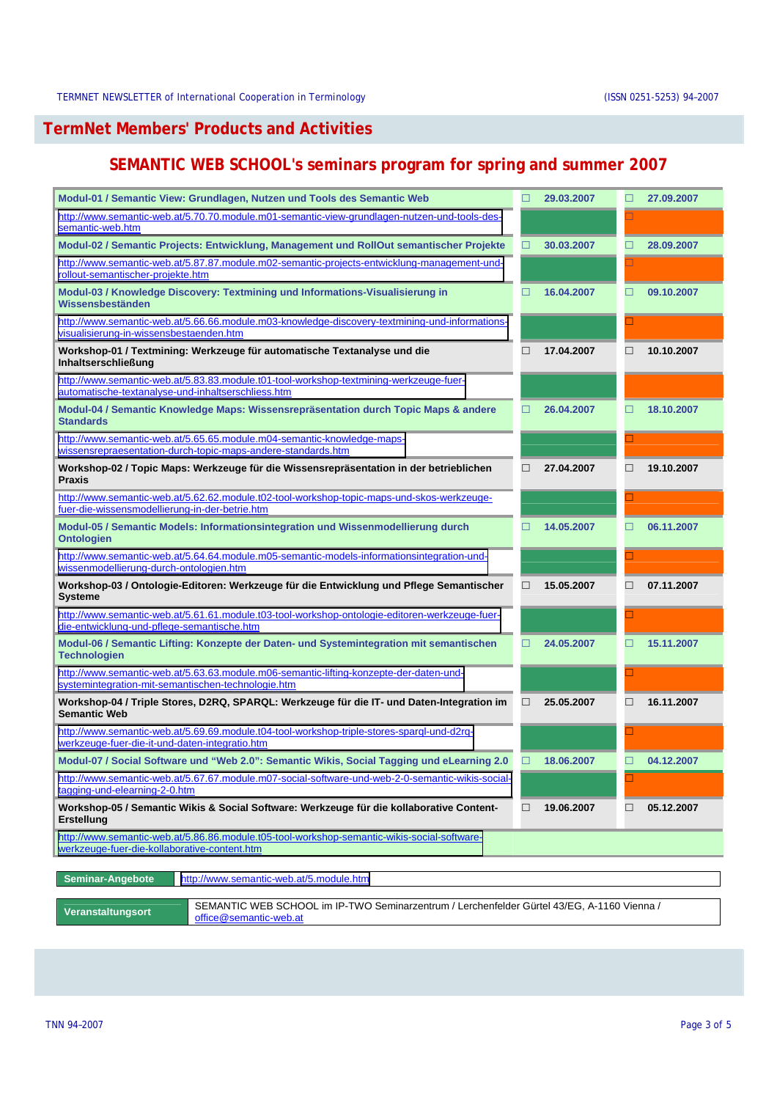# **TermNet Members' Products and Activities**

# **SEMANTIC WEB SCHOOL's seminars program for spring and summer 2007**

| Modul-01 / Semantic View: Grundlagen, Nutzen und Tools des Semantic Web                                                                      | □      | 29.03.2007 | □                           | 27.09.2007 |
|----------------------------------------------------------------------------------------------------------------------------------------------|--------|------------|-----------------------------|------------|
| http://www.semantic-web.at/5.70.70.module.m01-semantic-view-grundlagen-nutzen-und-tools-des-<br>semantic-web.htm                             |        |            |                             |            |
| Modul-02 / Semantic Projects: Entwicklung, Management und RollOut semantischer Projekte                                                      | П      | 30.03.2007 | □                           | 28.09.2007 |
| http://www.semantic-web.at/5.87.87.module.m02-semantic-projects-entwicklung-management-und-<br>rollout-semantischer-projekte.htm             |        |            |                             |            |
| Modul-03 / Knowledge Discovery: Textmining und Informations-Visualisierung in<br>Wissensbeständen                                            | П      | 16.04.2007 | □                           | 09.10.2007 |
| http://www.semantic-web.at/5.66.66.module.m03-knowledge-discovery-textmining-und-informations-<br>visualisierung-in-wissensbestaenden.htm    |        |            |                             |            |
| Workshop-01 / Textmining: Werkzeuge für automatische Textanalyse und die<br><b>Inhaltserschließung</b>                                       | П      | 17.04.2007 | ш                           | 10.10.2007 |
| http://www.semantic-web.at/5.83.83.module.t01-tool-workshop-textmining-werkzeuge-fuer-<br>automatische-textanalyse-und-inhaltserschliess.htm |        |            |                             |            |
| Modul-04 / Semantic Knowledge Maps: Wissensrepräsentation durch Topic Maps & andere<br><b>Standards</b>                                      | П      | 26.04.2007 | П                           | 18.10.2007 |
| http://www.semantic-web.at/5.65.65.module.m04-semantic-knowledge-maps-<br>wissensrepraesentation-durch-topic-maps-andere-standards.htm       |        |            |                             |            |
| Workshop-02 / Topic Maps: Werkzeuge für die Wissensrepräsentation in der betrieblichen<br><b>Praxis</b>                                      | □      | 27.04.2007 | П                           | 19.10.2007 |
| http://www.semantic-web.at/5.62.62.module.t02-tool-workshop-topic-maps-und-skos-werkzeuge-<br>fuer-die-wissensmodellierung-in-der-betrie.htm |        |            |                             |            |
| Modul-05 / Semantic Models: Informationsintegration und Wissenmodellierung durch<br><b>Ontologien</b>                                        | П      | 14.05.2007 | $\Box$                      | 06.11.2007 |
| http://www.semantic-web.at/5.64.64.module.m05-semantic-models-informationsintegration-und-<br>wissenmodellierung-durch-ontologien.htm        |        |            |                             |            |
| Workshop-03 / Ontologie-Editoren: Werkzeuge für die Entwicklung und Pflege Semantischer<br><b>Systeme</b>                                    | □      | 15.05.2007 | □                           | 07.11.2007 |
| http://www.semantic-web.at/5.61.61.module.t03-tool-workshop-ontologie-editoren-werkzeuge-fuer-<br>die-entwicklung-und-pflege-semantische.htm |        |            |                             |            |
| Modul-06 / Semantic Lifting: Konzepte der Daten- und Systemintegration mit semantischen<br><b>Technologien</b>                               | □      | 24.05.2007 | $\Box$                      | 15.11.2007 |
| http://www.semantic-web.at/5.63.63.module.m06-semantic-lifting-konzepte-der-daten-und-<br>systemintegration-mit-semantischen-technologie.htm |        |            | $\mathcal{L}_{\mathcal{A}}$ |            |
| Workshop-04 / Triple Stores, D2RQ, SPARQL: Werkzeuge für die IT- und Daten-Integration im<br><b>Semantic Web</b>                             | □      | 25.05.2007 | $\Box$                      | 16.11.2007 |
| http://www.semantic-web.at/5.69.69.module.t04-tool-workshop-triple-stores-spargl-und-d2rg-<br>werkzeuge-fuer-die-it-und-daten-integratio.htm |        |            |                             |            |
| Modul-07 / Social Software und "Web 2.0": Semantic Wikis, Social Tagging und eLearning 2.0                                                   | □      | 18.06.2007 | □                           | 04.12.2007 |
| http://www.semantic-web.at/5.67.67.module.m07-social-software-und-web-2-0-semantic-wikis-social-<br>tagging-und-elearning-2-0.htm            |        |            |                             |            |
| Workshop-05 / Semantic Wikis & Social Software: Werkzeuge für die kollaborative Content-<br>Erstellung                                       | $\Box$ | 19.06.2007 | $\Box$                      | 05.12.2007 |
| http://www.semantic-web.at/5.86.86.module.t05-tool-workshop-semantic-wikis-social-software-<br>werkzeuge-fuer-die-kollaborative-content.htm  |        |            |                             |            |
| Seminar-Angebote<br>http://www.semantic-web.at/5.module.htm                                                                                  |        |            |                             |            |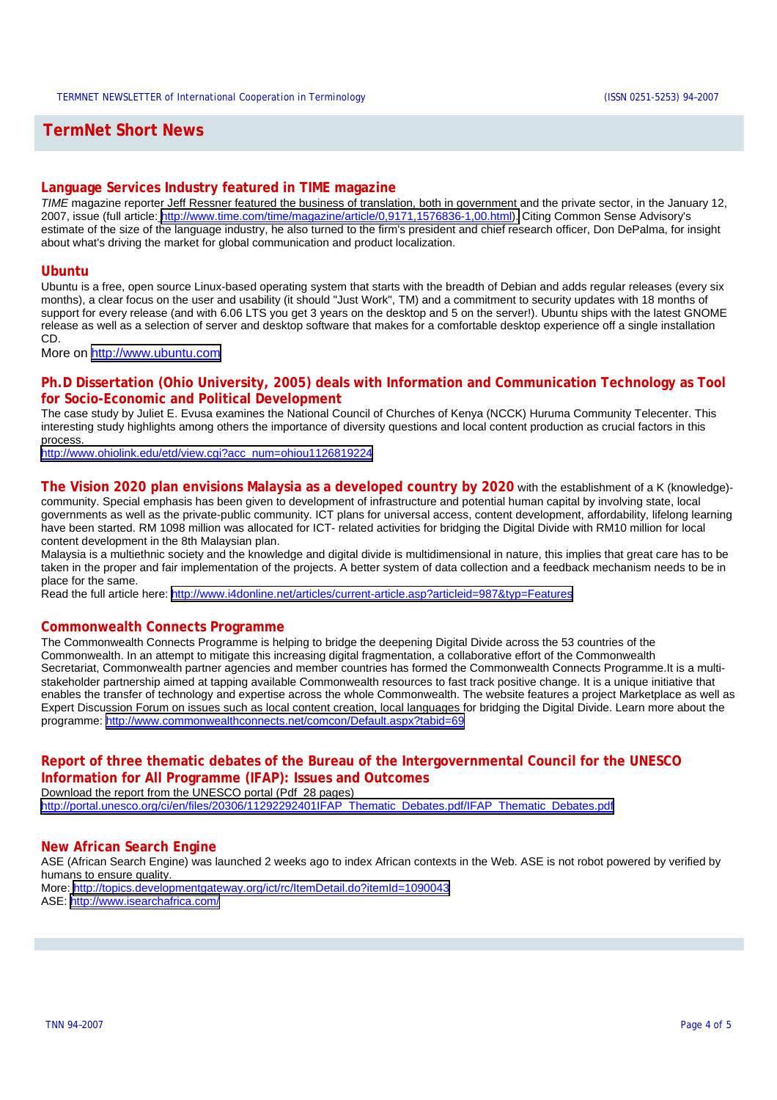# **TermNet Short News**

## **Language Services Industry featured in TIME magazine**

*TIME* magazine reporter Jeff Ressner featured the business of translation, both in government and the private sector, in the January 12, 2007, issue (full article: [http://www.time.com/time/magazine/article/0,9171,1576836-1,00.html\).](http://www.time.com/time/magazine/article/0,9171,1576836-1,00.html) Citing Common Sense Advisory's estimate of the size of the language industry, he also turned to the firm's president and chief research officer, Don DePalma, for insight about what's driving the market for global communication and product localization.

## **Ubuntu**

Ubuntu is a free, open source Linux-based operating system that starts with the breadth of Debian and adds regular releases (every six months), a clear focus on the user and usability (it should "Just Work", TM) and a commitment to security updates with 18 months of support for every release (and with 6.06 LTS you get 3 years on the desktop and 5 on the server!). Ubuntu ships with the latest GNOME release as well as a selection of server and desktop software that makes for a comfortable desktop experience off a single installation CD.

More on <http://www.ubuntu.com>

## **Ph.D Dissertation (Ohio University, 2005) deals with Information and Communication Technology as Tool for Socio-Economic and Political Development**

The case study by Juliet E. Evusa examines the National Council of Churches of Kenya (NCCK) Huruma Community Telecenter. This interesting study highlights among others the importance of diversity questions and local content production as crucial factors in this process.

[http://www.ohiolink.edu/etd/view.cgi?acc\\_num=ohiou1126819224](http://www.ohiolink.edu/etd/view.cgi?acc_num=ohiou1126819224)

### **The Vision 2020 plan envisions Malaysia as a developed country by 2020** with the establishment of a K (knowledge)-

community. Special emphasis has been given to development of infrastructure and potential human capital by involving state, local governments as well as the private-public community. ICT plans for universal access, content development, affordability, lifelong learning have been started. RM 1098 million was allocated for ICT- related activities for bridging the Digital Divide with RM10 million for local content development in the 8th Malaysian plan.

Malaysia is a multiethnic society and the knowledge and digital divide is multidimensional in nature, this implies that great care has to be taken in the proper and fair implementation of the projects. A better system of data collection and a feedback mechanism needs to be in place for the same.

Read the full article here:<http://www.i4donline.net/articles/current-article.asp?articleid=987&typ=Features>

## **Commonwealth Connects Programme**

The Commonwealth Connects Programme is helping to bridge the deepening Digital Divide across the 53 countries of the Commonwealth. In an attempt to mitigate this increasing digital fragmentation, a collaborative effort of the Commonwealth Secretariat, Commonwealth partner agencies and member countries has formed the Commonwealth Connects Programme.It is a multistakeholder partnership aimed at tapping available Commonwealth resources to fast track positive change. It is a unique initiative that enables the transfer of technology and expertise across the whole Commonwealth. The website features a project Marketplace as well as Expert Discussion Forum on issues such as local content creation, local languages for bridging the Digital Divide. Learn more about the programme:<http://www.commonwealthconnects.net/comcon/Default.aspx?tabid=69>

# **Report of three thematic debates of the Bureau of the Intergovernmental Council for the UNESCO Information for All Programme (IFAP): Issues and Outcomes**

Download the report from the UNESCO portal (Pdf 28 pages) [http://portal.unesco.org/ci/en/files/20306/11292292401IFAP\\_Thematic\\_Debates.pdf/IFAP\\_Thematic\\_Debates.pdf](http://portal.unesco.org/ci/en/files/20306/11292292401IFAP_Thematic_Debates.pdf/IFAP_Thematic_Debates.pdf)

## **New African Search Engine**

ASE (African Search Engine) was launched 2 weeks ago to index African contexts in the Web. ASE is not robot powered by verified by humans to ensure quality. More:<http://topics.developmentgateway.org/ict/rc/ItemDetail.do?itemId=1090043> ASE: <http://www.isearchafrica.com/>